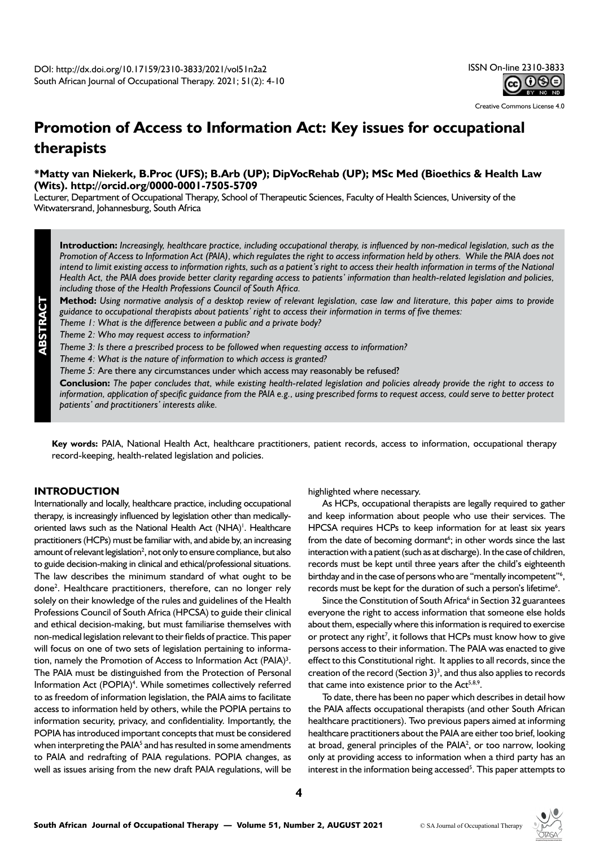

Creative Commons License 4.0

# **Promotion of Access to Information Act: Key issues for occupational therapists**

# **\*Matty van Niekerk, B.Proc (UFS); B.Arb (UP); DipVocRehab (UP); MSc Med (Bioethics & Health Law (Wits).<http://orcid.org/0000-0001-7505-5709>**

Lecturer, Department of Occupational Therapy, School of Therapeutic Sciences, Faculty of Health Sciences, University of the Witwatersrand, Johannesburg, South Africa

**Introduction:** *Increasingly, healthcare practice, including occupational therapy, is influenced by non-medical legislation, such as the Promotion of Access to Information Act (PAIA), which regulates the right to access information held by others. While the PAIA does not intend to limit existing access to information rights, such as a patient's right to access their health information in terms of the National Health Act, the PAIA does provide better clarity regarding access to patients' information than health-related legislation and policies, including those of the Health Professions Council of South Africa.*

**Method:** *Using normative analysis of a desktop review of relevant legislation, case law and literature, this paper aims to provide guidance to occupational therapists about patients' right to access their information in terms of five themes:* 

*Theme 1: What is the difference between a public and a private body?*

*Theme 2: Who may request access to information?* 

*Theme 3: Is there a prescribed process to be followed when requesting access to information?*

*Theme 4: What is the nature of information to which access is granted?*

*Theme 5:* Are there any circumstances under which access may reasonably be refused?

**Conclusion:** *The paper concludes that, while existing health-related legislation and policies already provide the right to access to information, application of specific guidance from the PAIA e.g., using prescribed forms to request access, could serve to better protect patients' and practitioners' interests alike.*

**Key words:** PAIA, National Health Act, healthcare practitioners, patient records, access to information, occupational therapy record-keeping, health-related legislation and policies.

## **INTRODUCTION**

**ABSTRACT**

Internationally and locally, healthcare practice, including occupational therapy, is increasingly influenced by legislation other than medicallyoriented laws such as the National Health Act (NHA)<sup>1</sup>. Healthcare practitioners (HCPs) must be familiar with, and abide by, an increasing amount of relevant legislation<sup>2</sup>, not only to ensure compliance, but also to guide decision-making in clinical and ethical/professional situations. The law describes the minimum standard of what ought to be done2 . Healthcare practitioners, therefore, can no longer rely solely on their knowledge of the rules and guidelines of the Health Professions Council of South Africa (HPCSA) to guide their clinical and ethical decision-making, but must familiarise themselves with non-medical legislation relevant to their fields of practice. This paper will focus on one of two sets of legislation pertaining to information, namely the Promotion of Access to Information Act  $(PAIA)<sup>3</sup>$ . The PAIA must be distinguished from the Protection of Personal Information Act (POPIA)<sup>4</sup>. While sometimes collectively referred to as freedom of information legislation, the PAIA aims to facilitate access to information held by others, while the POPIA pertains to information security, privacy, and confidentiality. Importantly, the POPIA has introduced important concepts that must be considered when interpreting the PAIA<sup>5</sup> and has resulted in some amendments to PAIA and redrafting of PAIA regulations. POPIA changes, as well as issues arising from the new draft PAIA regulations, will be highlighted where necessary.

As HCPs, occupational therapists are legally required to gather and keep information about people who use their services. The HPCSA requires HCPs to keep information for at least six years from the date of becoming dormant<sup>6</sup>; in other words since the last interaction with a patient (such as at discharge). In the case of children, records must be kept until three years after the child's eighteenth birthday and in the case of persons who are "mentally incompetent"<sup>6</sup>, records must be kept for the duration of such a person's lifetime<sup>6</sup>.

Since the Constitution of South Africa<sup>6</sup> in Section 32 guarantees everyone the right to access information that someone else holds about them, especially where this information is required to exercise or protect any right<sup>7</sup>, it follows that HCPs must know how to give persons access to their information. The PAIA was enacted to give effect to this Constitutional right. It applies to all records, since the creation of the record (Section  $3<sup>3</sup>$ , and thus also applies to records that came into existence prior to the  $Act<sup>5,8,9</sup>$ .

To date, there has been no paper which describes in detail how the PAIA affects occupational therapists (and other South African healthcare practitioners). Two previous papers aimed at informing healthcare practitioners about the PAIA are either too brief, looking at broad, general principles of the  $PAIA<sup>2</sup>$ , or too narrow, looking only at providing access to information when a third party has an interest in the information being accessed<sup>5</sup>. This paper attempts to

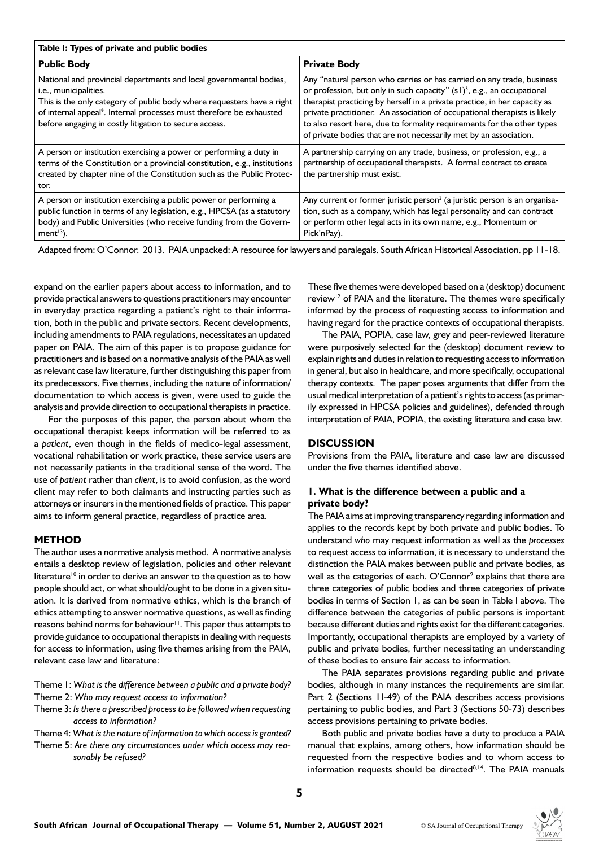| Table I: Types of private and public bodies                                                                                                                                                                                                                                                                         |                                                                                                                                                                                                                                                                                                                                                                                                                                                             |  |
|---------------------------------------------------------------------------------------------------------------------------------------------------------------------------------------------------------------------------------------------------------------------------------------------------------------------|-------------------------------------------------------------------------------------------------------------------------------------------------------------------------------------------------------------------------------------------------------------------------------------------------------------------------------------------------------------------------------------------------------------------------------------------------------------|--|
| <b>Public Body</b>                                                                                                                                                                                                                                                                                                  | <b>Private Body</b>                                                                                                                                                                                                                                                                                                                                                                                                                                         |  |
| National and provincial departments and local governmental bodies,<br>i.e., municipalities.<br>This is the only category of public body where requesters have a right<br>of internal appeal <sup>9</sup> . Internal processes must therefore be exhausted<br>before engaging in costly litigation to secure access. | Any "natural person who carries or has carried on any trade, business<br>or profession, but only in such capacity" $(s1)3$ , e.g., an occupational<br>therapist practicing by herself in a private practice, in her capacity as<br>private practitioner. An association of occupational therapists is likely<br>to also resort here, due to formality requirements for the other types<br>of private bodies that are not necessarily met by an association. |  |
| A person or institution exercising a power or performing a duty in<br>terms of the Constitution or a provincial constitution, e.g., institutions<br>created by chapter nine of the Constitution such as the Public Protec-<br>tor.                                                                                  | A partnership carrying on any trade, business, or profession, e.g., a<br>partnership of occupational therapists. A formal contract to create<br>the partnership must exist.                                                                                                                                                                                                                                                                                 |  |
| A person or institution exercising a public power or performing a<br>public function in terms of any legislation, e.g., HPCSA (as a statutory<br>body) and Public Universities (who receive funding from the Govern-<br>ment <sup>13</sup> ).                                                                       | Any current or former juristic person <sup>3</sup> (a juristic person is an organisa-<br>tion, such as a company, which has legal personality and can contract<br>or perform other legal acts in its own name, e.g., Momentum or<br>Pick'nPay).                                                                                                                                                                                                             |  |

Adapted from: O'Connor. 2013. PAIA unpacked: A resource for lawyers and paralegals. South African Historical Association. pp 11-18.

expand on the earlier papers about access to information, and to provide practical answers to questions practitioners may encounter in everyday practice regarding a patient's right to their information, both in the public and private sectors. Recent developments, including amendments to PAIA regulations, necessitates an updated paper on PAIA. The aim of this paper is to propose guidance for practitioners and is based on a normative analysis of the PAIA as well as relevant case law literature, further distinguishing this paper from its predecessors. Five themes, including the nature of information/ documentation to which access is given, were used to guide the analysis and provide direction to occupational therapists in practice.

For the purposes of this paper, the person about whom the occupational therapist keeps information will be referred to as a *patient*, even though in the fields of medico-legal assessment, vocational rehabilitation or work practice, these service users are not necessarily patients in the traditional sense of the word. The use of *patient* rather than *client*, is to avoid confusion, as the word client may refer to both claimants and instructing parties such as attorneys or insurers in the mentioned fields of practice. This paper aims to inform general practice, regardless of practice area.

## **METHOD**

The author uses a normative analysis method. A normative analysis entails a desktop review of legislation, policies and other relevant literature<sup>10</sup> in order to derive an answer to the question as to how people should act, or what should/ought to be done in a given situation. It is derived from normative ethics, which is the branch of ethics attempting to answer normative questions, as well as finding reasons behind norms for behaviour<sup>11</sup>. This paper thus attempts to provide guidance to occupational therapists in dealing with requests for access to information, using five themes arising from the PAIA, relevant case law and literature:

Theme 1: *What is the difference between a public and a private body?* Theme 2: *Who may request access to information?* 

- Theme 3: *Is there a prescribed process to be followed when requesting access to information?*
- Theme 4: *What is the nature of information to which access is granted?* Theme 5: *Are there any circumstances under which access may reasonably be refused?*

These five themes were developed based on a (desktop) document review<sup>12</sup> of PAIA and the literature. The themes were specifically informed by the process of requesting access to information and having regard for the practice contexts of occupational therapists.

The PAIA, POPIA, case law, grey and peer-reviewed literature were purposively selected for the (desktop) document review to explain rights and duties in relation to requesting access to information in general, but also in healthcare, and more specifically, occupational therapy contexts. The paper poses arguments that differ from the usual medical interpretation of a patient's rights to access (as primarily expressed in HPCSA policies and guidelines), defended through interpretation of PAIA, POPIA, the existing literature and case law.

# **DISCUSSION**

Provisions from the PAIA, literature and case law are discussed under the five themes identified above.

# **1. What is the difference between a public and a private body?**

The PAIA aims at improving transparency regarding information and applies to the records kept by both private and public bodies. To understand *who* may request information as well as the *processes*  to request access to information, it is necessary to understand the distinction the PAIA makes between public and private bodies, as well as the categories of each. O'Connor<sup>9</sup> explains that there are three categories of public bodies and three categories of private bodies in terms of Section 1, as can be seen in Table I above. The difference between the categories of public persons is important because different duties and rights exist for the different categories. Importantly, occupational therapists are employed by a variety of public and private bodies, further necessitating an understanding of these bodies to ensure fair access to information.

The PAIA separates provisions regarding public and private bodies, although in many instances the requirements are similar. Part 2 (Sections 11-49) of the PAIA describes access provisions pertaining to public bodies, and Part 3 (Sections 50-73) describes access provisions pertaining to private bodies.

Both public and private bodies have a duty to produce a PAIA manual that explains, among others, how information should be requested from the respective bodies and to whom access to information requests should be directed $8,14$ . The PAIA manuals

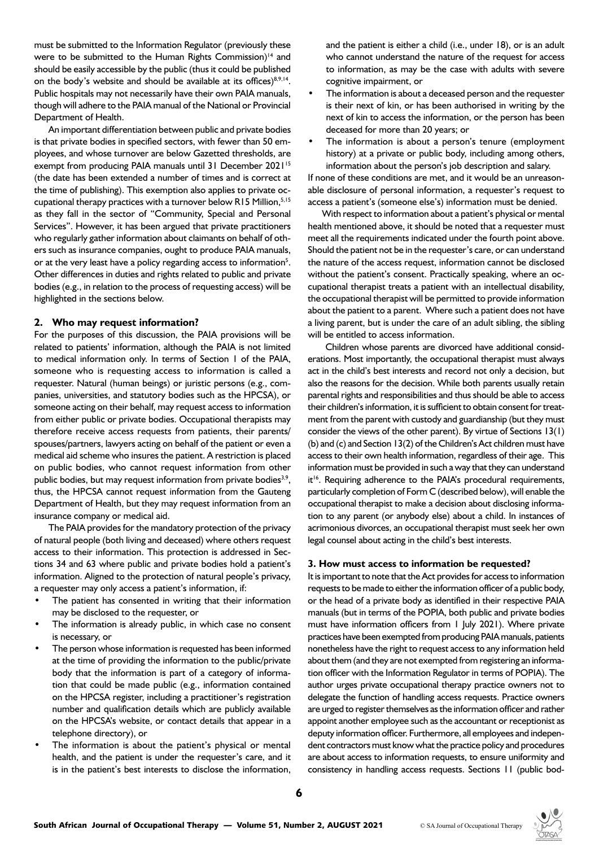must be submitted to the Information Regulator (previously these were to be submitted to the Human Rights Commission)<sup>14</sup> and should be easily accessible by the public (thus it could be published on the body's website and should be available at its offices) $8,9,14$ . Public hospitals may not necessarily have their own PAIA manuals, though will adhere to the PAIA manual of the National or Provincial Department of Health.

An important differentiation between public and private bodies is that private bodies in specified sectors, with fewer than 50 employees, and whose turnover are below Gazetted thresholds, are exempt from producing PAIA manuals until 31 December 2021<sup>15</sup> (the date has been extended a number of times and is correct at the time of publishing). This exemption also applies to private occupational therapy practices with a turnover below R15 Million, 5,15 as they fall in the sector of "Community, Special and Personal Services". However, it has been argued that private practitioners who regularly gather information about claimants on behalf of others such as insurance companies, ought to produce PAIA manuals, or at the very least have a policy regarding access to information<sup>5</sup>. Other differences in duties and rights related to public and private bodies (e.g., in relation to the process of requesting access) will be highlighted in the sections below.

### **2. Who may request information?**

For the purposes of this discussion, the PAIA provisions will be related to patients' information, although the PAIA is not limited to medical information only. In terms of Section 1 of the PAIA, someone who is requesting access to information is called a requester. Natural (human beings) or juristic persons (e.g., companies, universities, and statutory bodies such as the HPCSA), or someone acting on their behalf, may request access to information from either public or private bodies. Occupational therapists may therefore receive access requests from patients, their parents/ spouses/partners, lawyers acting on behalf of the patient or even a medical aid scheme who insures the patient. A restriction is placed on public bodies, who cannot request information from other public bodies, but may request information from private bodies<sup>3,9</sup>, thus, the HPCSA cannot request information from the Gauteng Department of Health, but they may request information from an insurance company or medical aid.

The PAIA provides for the mandatory protection of the privacy of natural people (both living and deceased) where others request access to their information. This protection is addressed in Sections 34 and 63 where public and private bodies hold a patient's information. Aligned to the protection of natural people's privacy, a requester may only access a patient's information, if:

- The patient has consented in writing that their information may be disclosed to the requester, or
- The information is already public, in which case no consent is necessary, or
- The person whose information is requested has been informed at the time of providing the information to the public/private body that the information is part of a category of information that could be made public (e.g., information contained on the HPCSA register, including a practitioner's registration number and qualification details which are publicly available on the HPCSA's website, or contact details that appear in a telephone directory), or
- The information is about the patient's physical or mental health, and the patient is under the requester's care, and it is in the patient's best interests to disclose the information,

and the patient is either a child (i.e., under 18), or is an adult who cannot understand the nature of the request for access to information, as may be the case with adults with severe cognitive impairment, or

- The information is about a deceased person and the requester is their next of kin, or has been authorised in writing by the next of kin to access the information, or the person has been deceased for more than 20 years; or
- The information is about a person's tenure (employment history) at a private or public body, including among others, information about the person's job description and salary.

If none of these conditions are met, and it would be an unreasonable disclosure of personal information, a requester's request to access a patient's (someone else's) information must be denied.

With respect to information about a patient's physical or mental health mentioned above, it should be noted that a requester must meet all the requirements indicated under the fourth point above. Should the patient not be in the requester's care, or can understand the nature of the access request, information cannot be disclosed without the patient's consent. Practically speaking, where an occupational therapist treats a patient with an intellectual disability, the occupational therapist will be permitted to provide information about the patient to a parent. Where such a patient does not have a living parent, but is under the care of an adult sibling, the sibling will be entitled to access information.

 Children whose parents are divorced have additional considerations. Most importantly, the occupational therapist must always act in the child's best interests and record not only a decision, but also the reasons for the decision. While both parents usually retain parental rights and responsibilities and thus should be able to access their children's information, it is sufficient to obtain consent for treatment from the parent with custody and guardianship (but they must consider the views of the other parent). By virtue of Sections 13(1) (b) and (c) and Section 13(2) of the Children's Act children must have access to their own health information, regardless of their age. This information must be provided in such a way that they can understand  $it^{16}$ . Requiring adherence to the PAIA's procedural requirements, particularly completion of Form C (described below), will enable the occupational therapist to make a decision about disclosing information to any parent (or anybody else) about a child. In instances of acrimonious divorces, an occupational therapist must seek her own legal counsel about acting in the child's best interests.

#### **3. How must access to information be requested?**

It is important to note that the Act provides for access to information requests to be made to either the information officer of a public body, or the head of a private body as identified in their respective PAIA manuals (but in terms of the POPIA, both public and private bodies must have information officers from 1 July 2021). Where private practices have been exempted from producing PAIA manuals, patients nonetheless have the right to request access to any information held about them (and they are not exempted from registering an information officer with the Information Regulator in terms of POPIA). The author urges private occupational therapy practice owners not to delegate the function of handling access requests. Practice owners are urged to register themselves as the information officer and rather appoint another employee such as the accountant or receptionist as deputy information officer. Furthermore, all employees and independent contractors must know what the practice policy and procedures are about access to information requests, to ensure uniformity and consistency in handling access requests. Sections 11 (public bod-

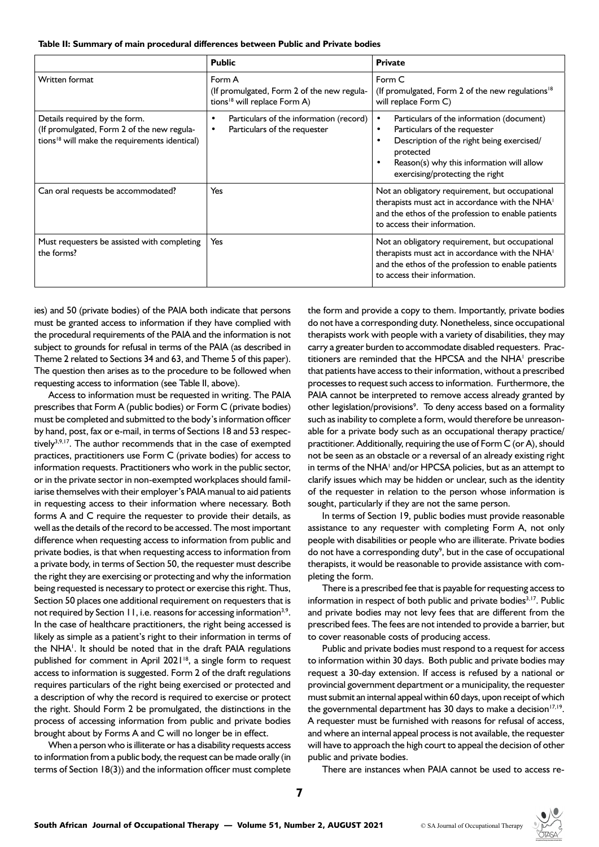**Table II: Summary of main procedural differences between Public and Private bodies**

|                                                                                                                                          | <b>Public</b>                                                                                    | <b>Private</b>                                                                                                                                                                                                                        |
|------------------------------------------------------------------------------------------------------------------------------------------|--------------------------------------------------------------------------------------------------|---------------------------------------------------------------------------------------------------------------------------------------------------------------------------------------------------------------------------------------|
| Written format                                                                                                                           | Form A<br>(If promulgated, Form 2 of the new regula-<br>tions <sup>18</sup> will replace Form A) | Form C<br>(If promulgated, Form 2 of the new regulations <sup>18</sup> )<br>will replace Form C)                                                                                                                                      |
| Details required by the form.<br>(If promulgated, Form 2 of the new regula-<br>tions <sup>18</sup> will make the requirements identical) | Particulars of the information (record)<br>Particulars of the requester<br>٠                     | Particulars of the information (document)<br>$\bullet$<br>Particulars of the requester<br>٠<br>Description of the right being exercised/<br>protected<br>Reason(s) why this information will allow<br>exercising/protecting the right |
| Can oral requests be accommodated?                                                                                                       | Yes                                                                                              | Not an obligatory requirement, but occupational<br>therapists must act in accordance with the NHA <sup>1</sup><br>and the ethos of the profession to enable patients<br>to access their information.                                  |
| Must requesters be assisted with completing<br>the forms?                                                                                | Yes                                                                                              | Not an obligatory requirement, but occupational<br>therapists must act in accordance with the NHA <sup>1</sup><br>and the ethos of the profession to enable patients<br>to access their information.                                  |

ies) and 50 (private bodies) of the PAIA both indicate that persons must be granted access to information if they have complied with the procedural requirements of the PAIA and the information is not subject to grounds for refusal in terms of the PAIA (as described in Theme 2 related to Sections 34 and 63, and Theme 5 of this paper). The question then arises as to the procedure to be followed when requesting access to information (see Table II, above).

Access to information must be requested in writing. The PAIA prescribes that Form A (public bodies) or Form C (private bodies) must be completed and submitted to the body's information officer by hand, post, fax or e-mail, in terms of Sections 18 and 53 respectively $3,9,17$ . The author recommends that in the case of exempted practices, practitioners use Form C (private bodies) for access to information requests. Practitioners who work in the public sector, or in the private sector in non-exempted workplaces should familiarise themselves with their employer's PAIA manual to aid patients in requesting access to their information where necessary. Both forms A and C require the requester to provide their details, as well as the details of the record to be accessed. The most important difference when requesting access to information from public and private bodies, is that when requesting access to information from a private body, in terms of Section 50, the requester must describe the right they are exercising or protecting and why the information being requested is necessary to protect or exercise this right. Thus, Section 50 places one additional requirement on requesters that is not required by Section 11, i.e. reasons for accessing information<sup>3,9</sup>. In the case of healthcare practitioners, the right being accessed is likely as simple as a patient's right to their information in terms of the NHA<sup>1</sup>. It should be noted that in the draft PAIA regulations published for comment in April 2021<sup>18</sup>, a single form to request access to information is suggested. Form 2 of the draft regulations requires particulars of the right being exercised or protected and a description of why the record is required to exercise or protect the right. Should Form 2 be promulgated, the distinctions in the process of accessing information from public and private bodies brought about by Forms A and C will no longer be in effect.

When a person who is illiterate or has a disability requests access to information from a public body, the request can be made orally (in terms of Section 18(3)) and the information officer must complete the form and provide a copy to them. Importantly, private bodies do not have a corresponding duty. Nonetheless, since occupational therapists work with people with a variety of disabilities, they may carry a greater burden to accommodate disabled requesters. Practitioners are reminded that the HPCSA and the NHA<sup>1</sup> prescribe that patients have access to their information, without a prescribed processes to request such access to information. Furthermore, the PAIA cannot be interpreted to remove access already granted by other legislation/provisions<sup>9</sup>. To deny access based on a formality such as inability to complete a form, would therefore be unreasonable for a private body such as an occupational therapy practice/ practitioner. Additionally, requiring the use of Form C (or A), should not be seen as an obstacle or a reversal of an already existing right in terms of the NHA<sup>1</sup> and/or HPCSA policies, but as an attempt to clarify issues which may be hidden or unclear, such as the identity of the requester in relation to the person whose information is sought, particularly if they are not the same person.

In terms of Section 19, public bodies must provide reasonable assistance to any requester with completing Form A, not only people with disabilities or people who are illiterate. Private bodies do not have a corresponding duty<sup>9</sup>, but in the case of occupational therapists, it would be reasonable to provide assistance with completing the form.

There is a prescribed fee that is payable for requesting access to information in respect of both public and private bodies $3,17$ . Public and private bodies may not levy fees that are different from the prescribed fees. The fees are not intended to provide a barrier, but to cover reasonable costs of producing access.

Public and private bodies must respond to a request for access to information within 30 days. Both public and private bodies may request a 30-day extension. If access is refused by a national or provincial government department or a municipality, the requester must submit an internal appeal within 60 days, upon receipt of which the governmental department has 30 days to make a decision<sup>17,19</sup>. A requester must be furnished with reasons for refusal of access, and where an internal appeal process is not available, the requester will have to approach the high court to appeal the decision of other public and private bodies.

There are instances when PAIA cannot be used to access re-

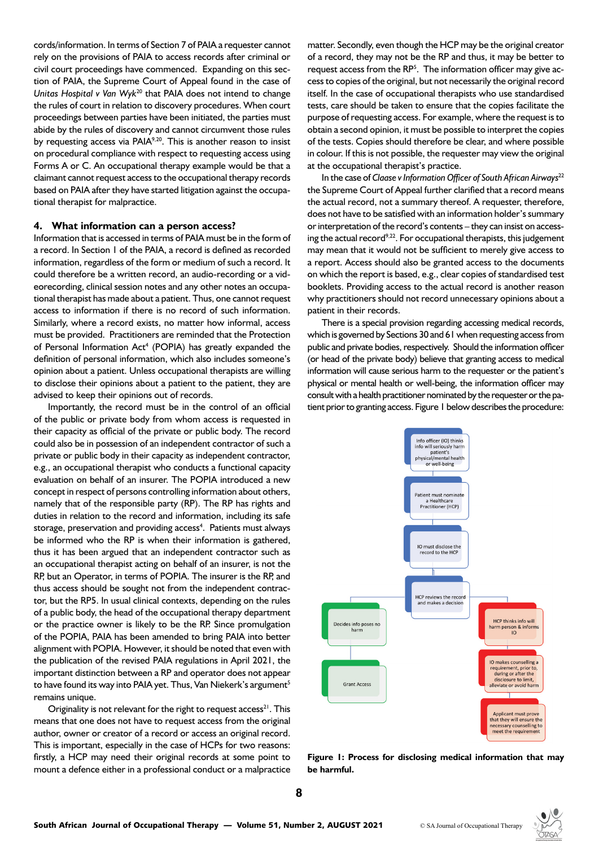cords/information. In terms of Section 7 of PAIA a requester cannot rely on the provisions of PAIA to access records after criminal or civil court proceedings have commenced. Expanding on this section of PAIA, the Supreme Court of Appeal found in the case of *Unitas Hospital v Van Wyk*20 that PAIA does not intend to change the rules of court in relation to discovery procedures. When court proceedings between parties have been initiated, the parties must abide by the rules of discovery and cannot circumvent those rules by requesting access via PAIA<sup>9,20</sup>. This is another reason to insist on procedural compliance with respect to requesting access using Forms A or C. An occupational therapy example would be that a claimant cannot request access to the occupational therapy records based on PAIA after they have started litigation against the occupational therapist for malpractice.

## **4. What information can a person access?**

Information that is accessed in terms of PAIA must be in the form of a record. In Section 1 of the PAIA, a record is defined as recorded information, regardless of the form or medium of such a record. It could therefore be a written record, an audio-recording or a videorecording, clinical session notes and any other notes an occupational therapist has made about a patient. Thus, one cannot request access to information if there is no record of such information. Similarly, where a record exists, no matter how informal, access must be provided. Practitioners are reminded that the Protection of Personal Information Act<sup>4</sup> (POPIA) has greatly expanded the definition of personal information, which also includes someone's opinion about a patient. Unless occupational therapists are willing to disclose their opinions about a patient to the patient, they are advised to keep their opinions out of records.

Importantly, the record must be in the control of an official of the public or private body from whom access is requested in their capacity as official of the private or public body. The record could also be in possession of an independent contractor of such a private or public body in their capacity as independent contractor, e.g., an occupational therapist who conducts a functional capacity evaluation on behalf of an insurer. The POPIA introduced a new concept in respect of persons controlling information about others, namely that of the responsible party (RP). The RP has rights and duties in relation to the record and information, including its safe storage, preservation and providing access<sup>4</sup>. Patients must always be informed who the RP is when their information is gathered, thus it has been argued that an independent contractor such as an occupational therapist acting on behalf of an insurer, is not the RP, but an Operator, in terms of POPIA. The insurer is the RP, and thus access should be sought not from the independent contractor, but the RP5. In usual clinical contexts, depending on the rules of a public body, the head of the occupational therapy department or the practice owner is likely to be the RP. Since promulgation of the POPIA, PAIA has been amended to bring PAIA into better alignment with POPIA. However, it should be noted that even with the publication of the revised PAIA regulations in April 2021, the important distinction between a RP and operator does not appear to have found its way into PAIA yet. Thus, Van Niekerk's argument<sup>5</sup> remains unique.

Originality is not relevant for the right to request access<sup>21</sup>. This means that one does not have to request access from the original author, owner or creator of a record or access an original record. This is important, especially in the case of HCPs for two reasons: firstly, a HCP may need their original records at some point to mount a defence either in a professional conduct or a malpractice matter. Secondly, even though the HCP may be the original creator of a record, they may not be the RP and thus, it may be better to request access from the RP<sup>5</sup>. The information officer may give access to copies of the original, but not necessarily the original record itself. In the case of occupational therapists who use standardised tests, care should be taken to ensure that the copies facilitate the purpose of requesting access. For example, where the request is to obtain a second opinion, it must be possible to interpret the copies of the tests. Copies should therefore be clear, and where possible in colour. If this is not possible, the requester may view the original at the occupational therapist's practice.

In the case of *Claase v Information Officer of South African Airways*<sup>22</sup> the Supreme Court of Appeal further clarified that a record means the actual record, not a summary thereof. A requester, therefore, does not have to be satisfied with an information holder's summary or interpretation of the record's contents – they can insist on accessing the actual record<sup>9,22</sup>. For occupational therapists, this judgement may mean that it would not be sufficient to merely give access to a report. Access should also be granted access to the documents on which the report is based, e.g., clear copies of standardised test booklets. Providing access to the actual record is another reason why practitioners should not record unnecessary opinions about a patient in their records.

There is a special provision regarding accessing medical records, which is governed by Sections 30 and 61 when requesting access from public and private bodies, respectively. Should the information officer (or head of the private body) believe that granting access to medical information will cause serious harm to the requester or the patient's physical or mental health or well-being, the information officer may consult with a health practitioner nominated by the requester or the patient prior to granting access. Figure 1 below describes the procedure:



**Figure 1: Process for disclosing medical information that may be harmful.**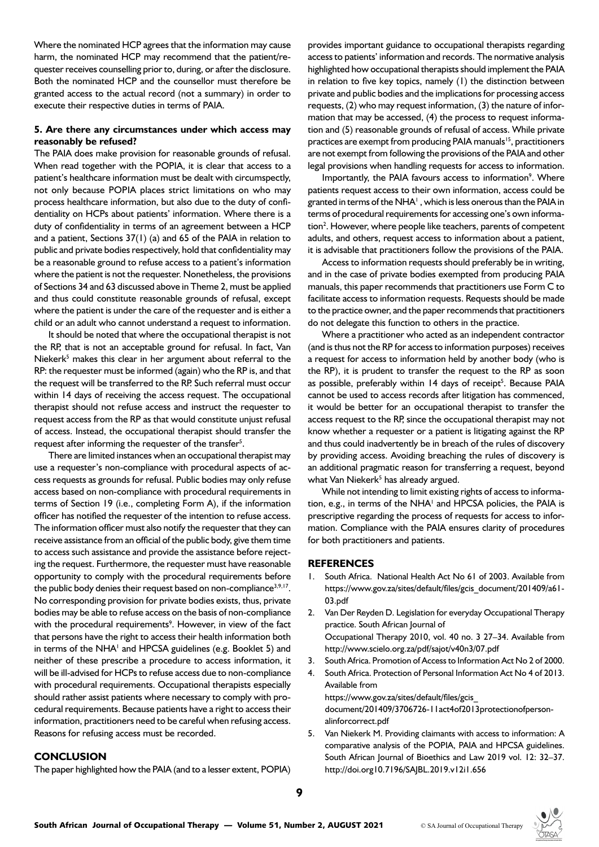Where the nominated HCP agrees that the information may cause harm, the nominated HCP may recommend that the patient/requester receives counselling prior to, during, or after the disclosure. Both the nominated HCP and the counsellor must therefore be granted access to the actual record (not a summary) in order to execute their respective duties in terms of PAIA.

## **5. Are there any circumstances under which access may reasonably be refused?**

The PAIA does make provision for reasonable grounds of refusal. When read together with the POPIA, it is clear that access to a patient's healthcare information must be dealt with circumspectly, not only because POPIA places strict limitations on who may process healthcare information, but also due to the duty of confidentiality on HCPs about patients' information. Where there is a duty of confidentiality in terms of an agreement between a HCP and a patient, Sections 37(1) (a) and 65 of the PAIA in relation to public and private bodies respectively, hold that confidentiality may be a reasonable ground to refuse access to a patient's information where the patient is not the requester. Nonetheless, the provisions of Sections 34 and 63 discussed above in Theme 2, must be applied and thus could constitute reasonable grounds of refusal, except where the patient is under the care of the requester and is either a child or an adult who cannot understand a request to information.

It should be noted that where the occupational therapist is not the RP, that is not an acceptable ground for refusal. In fact, Van Niekerk<sup>5</sup> makes this clear in her argument about referral to the RP: the requester must be informed (again) who the RP is, and that the request will be transferred to the RP. Such referral must occur within 14 days of receiving the access request. The occupational therapist should not refuse access and instruct the requester to request access from the RP as that would constitute unjust refusal of access. Instead, the occupational therapist should transfer the request after informing the requester of the transfer<sup>5</sup>.

There are limited instances when an occupational therapist may use a requester's non-compliance with procedural aspects of access requests as grounds for refusal. Public bodies may only refuse access based on non-compliance with procedural requirements in terms of Section 19 (i.e., completing Form A), if the information officer has notified the requester of the intention to refuse access. The information officer must also notify the requester that they can receive assistance from an official of the public body, give them time to access such assistance and provide the assistance before rejecting the request. Furthermore, the requester must have reasonable opportunity to comply with the procedural requirements before the public body denies their request based on non-compliance $3,9,17$ . No corresponding provision for private bodies exists, thus, private bodies may be able to refuse access on the basis of non-compliance with the procedural requirements<sup>9</sup>. However, in view of the fact that persons have the right to access their health information both in terms of the NHA<sup>1</sup> and HPCSA guidelines (e.g. Booklet 5) and neither of these prescribe a procedure to access information, it will be ill-advised for HCPs to refuse access due to non-compliance with procedural requirements. Occupational therapists especially should rather assist patients where necessary to comply with procedural requirements. Because patients have a right to access their information, practitioners need to be careful when refusing access. Reasons for refusing access must be recorded.

## **CONCLUSION**

The paper highlighted how the PAIA (and to a lesser extent, POPIA)

provides important guidance to occupational therapists regarding access to patients' information and records. The normative analysis highlighted how occupational therapists should implement the PAIA in relation to five key topics, namely (1) the distinction between private and public bodies and the implications for processing access requests, (2) who may request information, (3) the nature of information that may be accessed, (4) the process to request information and (5) reasonable grounds of refusal of access. While private practices are exempt from producing PAIA manuals<sup>15</sup>, practitioners are not exempt from following the provisions of the PAIA and other legal provisions when handling requests for access to information.

Importantly, the PAIA favours access to information<sup>9</sup>. Where patients request access to their own information, access could be granted in terms of the NHA<sup>1</sup>, which is less onerous than the PAIA in terms of procedural requirements for accessing one's own information<sup>2</sup>. However, where people like teachers, parents of competent adults, and others, request access to information about a patient, it is advisable that practitioners follow the provisions of the PAIA.

Access to information requests should preferably be in writing, and in the case of private bodies exempted from producing PAIA manuals, this paper recommends that practitioners use Form C to facilitate access to information requests. Requests should be made to the practice owner, and the paper recommends that practitioners do not delegate this function to others in the practice.

Where a practitioner who acted as an independent contractor (and is thus not the RP for access to information purposes) receives a request for access to information held by another body (who is the RP), it is prudent to transfer the request to the RP as soon as possible, preferably within 14 days of receipt<sup>5</sup>. Because PAIA cannot be used to access records after litigation has commenced, it would be better for an occupational therapist to transfer the access request to the RP, since the occupational therapist may not know whether a requester or a patient is litigating against the RP and thus could inadvertently be in breach of the rules of discovery by providing access. Avoiding breaching the rules of discovery is an additional pragmatic reason for transferring a request, beyond what Van Niekerk<sup>5</sup> has already argued.

While not intending to limit existing rights of access to information, e.g., in terms of the NHA<sup>1</sup> and HPCSA policies, the PAIA is prescriptive regarding the process of requests for access to information. Compliance with the PAIA ensures clarity of procedures for both practitioners and patients.

#### **REFERENCES**

- 1. South Africa. National Health Act No 61 of 2003. Available from https://www.gov.za/sites/default/files/gcis\_document/201409/a61- 03.pdf
- 2. Van Der Reyden D. Legislation for everyday Occupational Therapy practice. South African Journal of Occupational Therapy 2010, vol. 40 no. 3 27–34. Available from http://www.scielo.org.za/pdf/sajot/v40n3/07.pdf
- 3. South Africa. Promotion of Access to Information Act No 2 of 2000.
- 4. South Africa. Protection of Personal Information Act No 4 of 2013. Available from [https://www.gov.za/sites/default/files/gcis\\_](https://www.gov.za/sites/default/files/gcis_document/201409/3706726-11act4of2013protectionofpersonalinforcorrect.pdf)

[document/201409/3706726-11act4of2013protectionofperson](https://www.gov.za/sites/default/files/gcis_document/201409/3706726-11act4of2013protectionofpersonalinforcorrect.pdf)[alinforcorrect.pdf](https://www.gov.za/sites/default/files/gcis_document/201409/3706726-11act4of2013protectionofpersonalinforcorrect.pdf)

5. Van Niekerk M. Providing claimants with access to information: A comparative analysis of the POPIA, PAIA and HPCSA guidelines. South African Journal of Bioethics and Law 2019 vol. 12: 32–37. http://doi.org10.7196/SAJBL.2019.v12i1.656